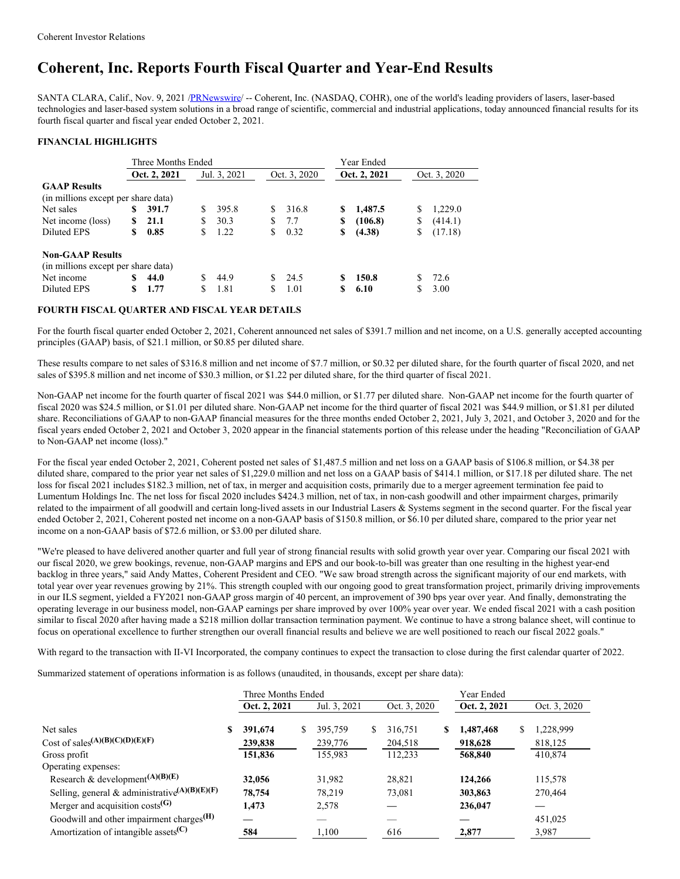# **Coherent, Inc. Reports Fourth Fiscal Quarter and Year-End Results**

SANTA CLARA, Calif., Nov. 9, 2021 [/PRNewswire](http://www.prnewswire.com/)/ -- Coherent, Inc. (NASDAQ, COHR), one of the world's leading providers of lasers, laser-based technologies and laser-based system solutions in a broad range of scientific, commercial and industrial applications, today announced financial results for its fourth fiscal quarter and fiscal year ended October 2, 2021.

# **FINANCIAL HIGHLIGHTS**

|                                     |              | Three Months Ended |              |       | Year Ended |              |    |              |    |              |  |
|-------------------------------------|--------------|--------------------|--------------|-------|------------|--------------|----|--------------|----|--------------|--|
|                                     | Oct. 2, 2021 |                    | Jul. 3, 2021 |       |            | Oct. 3, 2020 |    | Oct. 2, 2021 |    | Oct. 3, 2020 |  |
| <b>GAAP Results</b>                 |              |                    |              |       |            |              |    |              |    |              |  |
| (in millions except per share data) |              |                    |              |       |            |              |    |              |    |              |  |
| Net sales                           | S            | 391.7              | S            | 395.8 | S          | 316.8        | S  | 1,487.5      | S  | 1,229.0      |  |
| Net income (loss)                   | \$           | 21.1               | S            | 30.3  | S          | 7.7          | \$ | (106.8)      | \$ | (414.1)      |  |
| Diluted EPS                         | S.           | 0.85               | S            | 1.22  | S          | 0.32         | \$ | (4.38)       | \$ | (17.18)      |  |
| <b>Non-GAAP Results</b>             |              |                    |              |       |            |              |    |              |    |              |  |
| (in millions except per share data) |              |                    |              |       |            |              |    |              |    |              |  |
| Net income                          | \$           | 44.0               |              | 44.9  | S.         | 24.5         | \$ | 150.8        | S  | 72.6         |  |
| Diluted EPS                         | S            | 1.77               |              | 1.81  | S          | 1.01         |    | 6.10         |    | 3.00         |  |

# **FOURTH FISCAL QUARTER AND FISCAL YEAR DETAILS**

For the fourth fiscal quarter ended October 2, 2021, Coherent announced net sales of \$391.7 million and net income, on a U.S. generally accepted accounting principles (GAAP) basis, of \$21.1 million, or \$0.85 per diluted share.

These results compare to net sales of \$316.8 million and net income of \$7.7 million, or \$0.32 per diluted share, for the fourth quarter of fiscal 2020, and net sales of \$395.8 million and net income of \$30.3 million, or \$1.22 per diluted share, for the third quarter of fiscal 2021.

Non-GAAP net income for the fourth quarter of fiscal 2021 was \$44.0 million, or \$1.77 per diluted share. Non-GAAP net income for the fourth quarter of fiscal 2020 was \$24.5 million, or \$1.01 per diluted share. Non-GAAP net income for the third quarter of fiscal 2021 was \$44.9 million, or \$1.81 per diluted share. Reconciliations of GAAP to non-GAAP financial measures for the three months ended October 2, 2021, July 3, 2021, and October 3, 2020 and for the fiscal years ended October 2, 2021 and October 3, 2020 appear in the financial statements portion of this release under the heading "Reconciliation of GAAP to Non-GAAP net income (loss)."

For the fiscal year ended October 2, 2021, Coherent posted net sales of \$1,487.5 million and net loss on a GAAP basis of \$106.8 million, or \$4.38 per diluted share, compared to the prior year net sales of \$1,229.0 million and net loss on a GAAP basis of \$414.1 million, or \$17.18 per diluted share. The net loss for fiscal 2021 includes \$182.3 million, net of tax, in merger and acquisition costs, primarily due to a merger agreement termination fee paid to Lumentum Holdings Inc. The net loss for fiscal 2020 includes \$424.3 million, net of tax, in non-cash goodwill and other impairment charges, primarily related to the impairment of all goodwill and certain long-lived assets in our Industrial Lasers & Systems segment in the second quarter. For the fiscal year ended October 2, 2021, Coherent posted net income on a non-GAAP basis of \$150.8 million, or \$6.10 per diluted share, compared to the prior year net income on a non-GAAP basis of \$72.6 million, or \$3.00 per diluted share.

"We're pleased to have delivered another quarter and full year of strong financial results with solid growth year over year. Comparing our fiscal 2021 with our fiscal 2020, we grew bookings, revenue, non-GAAP margins and EPS and our book-to-bill was greater than one resulting in the highest year-end backlog in three years," said Andy Mattes, Coherent President and CEO. "We saw broad strength across the significant majority of our end markets, with total year over year revenues growing by 21%. This strength coupled with our ongoing good to great transformation project, primarily driving improvements in our ILS segment, yielded a FY2021 non-GAAP gross margin of 40 percent, an improvement of 390 bps year over year. And finally, demonstrating the operating leverage in our business model, non-GAAP earnings per share improved by over 100% year over year. We ended fiscal 2021 with a cash position similar to fiscal 2020 after having made a \$218 million dollar transaction termination payment. We continue to have a strong balance sheet, will continue to focus on operational excellence to further strengthen our overall financial results and believe we are well positioned to reach our fiscal 2022 goals."

With regard to the transaction with II-VI Incorporated, the company continues to expect the transaction to close during the first calendar quarter of 2022.

Summarized statement of operations information is as follows (unaudited, in thousands, except per share data):

|                                                               |   | Three Months Ended |    |              | Year Ended |              |    |              |   |              |
|---------------------------------------------------------------|---|--------------------|----|--------------|------------|--------------|----|--------------|---|--------------|
|                                                               |   | Oct. 2, 2021       |    | Jul. 3, 2021 |            | Oct. 3, 2020 |    | Oct. 2, 2021 |   | Oct. 3, 2020 |
| Net sales                                                     | S | 391,674            | \$ | 395,759      | S.         | 316,751      | \$ | 1,487,468    | S | 1,228,999    |
| Cost of sales <sup>(A)(B)(C)(D)(E)(F)</sup>                   |   | 239,838            |    | 239,776      |            | 204,518      |    | 918,628      |   | 818,125      |
| Gross profit                                                  |   | 151,836            |    | 155,983      |            | 112,233      |    | 568,840      |   | 410,874      |
| Operating expenses:                                           |   |                    |    |              |            |              |    |              |   |              |
| Research & development <sup>(A)(B)(E)</sup>                   |   | 32,056             |    | 31,982       |            | 28,821       |    | 124,266      |   | 115,578      |
| Selling, general & administrative <sup>(A)(B)(E)(F)</sup>     |   | 78,754             |    | 78,219       |            | 73,081       |    | 303,863      |   | 270,464      |
| Merger and acquisition $costs$ <sup>(G)</sup>                 |   | 1,473              |    | 2,578        |            |              |    | 236,047      |   |              |
| Goodwill and other impairment charges <sup>(H)</sup>          |   |                    |    |              |            |              |    |              |   | 451,025      |
| Amortization of intangible assets <sup>(<math>C</math>)</sup> |   | 584                |    | 1,100        |            | 616          |    | 2,877        |   | 3,987        |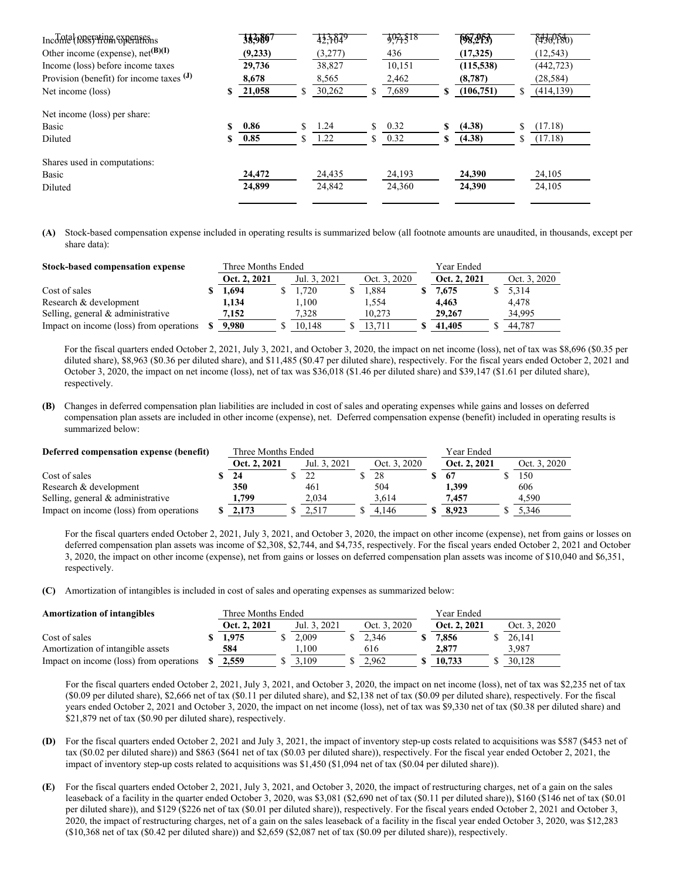| Inconta Reserving experience               | 38,9897    |   | 423649  |     | 9,71518 | (98, 205)    |    | $(*490,080)$ |
|--------------------------------------------|------------|---|---------|-----|---------|--------------|----|--------------|
| Other income (expense), $net^{(B)(I)}$     | (9,233)    |   | (3,277) |     | 436     | (17,325)     |    | (12, 543)    |
| Income (loss) before income taxes          | 29,736     |   | 38,827  |     | 10,151  | (115,538)    |    | (442, 723)   |
| Provision (benefit) for income taxes $(J)$ | 8,678      |   | 8,565   |     | 2,462   | (8,787)      |    | (28, 584)    |
| Net income (loss)                          | 21,058     |   | 30,262  |     | 7,689   | (106,751)    | S  | (414, 139)   |
| Net income (loss) per share:               |            |   |         |     |         |              |    |              |
| Basic                                      | 0.86       | S | 1.24    | \$. | 0.32    | \$<br>(4.38) | \$ | (17.18)      |
| Diluted                                    | \$<br>0.85 | S | 1.22    | S   | 0.32    | \$<br>(4.38) | ς  | (17.18)      |
| Shares used in computations:               |            |   |         |     |         |              |    |              |
| Basic                                      | 24,472     |   | 24,435  |     | 24,193  | 24,390       |    | 24,105       |
| Diluted                                    | 24,899     |   | 24,842  |     | 24,360  | 24,390       |    | 24,105       |
|                                            |            |   |         |     |         |              |    |              |

**(A)** Stock-based compensation expense included in operating results is summarized below (all footnote amounts are unaudited, in thousands, except per share data):

| Stock-based compensation expense        | Three Months Ended |              | Year Ended   |              |              |
|-----------------------------------------|--------------------|--------------|--------------|--------------|--------------|
|                                         | Oct. 2, 2021       | Jul. 3, 2021 | Oct. 3, 2020 | Oct. 2, 2021 | Oct. 3, 2020 |
| Cost of sales                           | l.694              | 1.720        | 1.884        | 7,675        | 5,314        |
| Research & development                  | 1,134              | 1.100        | 1.554        | 4,463        | 4,478        |
| Selling, general & administrative       | 7,152              | 7.328        | 10.273       | 29,267       | 34,995       |
| Impact on income (loss) from operations | 9.980              | 10.148       | 13.711       | 41,405       | 44.787       |

For the fiscal quarters ended October 2, 2021, July 3, 2021, and October 3, 2020, the impact on net income (loss), net of tax was \$8,696 (\$0.35 per diluted share), \$8,963 (\$0.36 per diluted share), and \$11,485 (\$0.47 per diluted share), respectively. For the fiscal years ended October 2, 2021 and October 3, 2020, the impact on net income (loss), net of tax was \$36,018 (\$1.46 per diluted share) and \$39,147 (\$1.61 per diluted share), respectively.

**(B)** Changes in deferred compensation plan liabilities are included in cost of sales and operating expenses while gains and losses on deferred compensation plan assets are included in other income (expense), net. Deferred compensation expense (benefit) included in operating results is summarized below:

| Deferred compensation expense (benefit) | Three Months Ended |              | Year Ended   |              |  |              |  |
|-----------------------------------------|--------------------|--------------|--------------|--------------|--|--------------|--|
|                                         | Oct. 2, 2021       | Jul. 3, 2021 | Oct. 3, 2020 | Oct. 2, 2021 |  | Oct. 3, 2020 |  |
| Cost of sales                           | -24                |              | 28           | 67           |  | 150          |  |
| Research & development                  | 350                | 461          | 504          | 1.399        |  | 606          |  |
| Selling, general & administrative       | 1.799              | 2.034        | 3.614        | 7.457        |  | 4.590        |  |
| Impact on income (loss) from operations | 2.173              | 2.517        | 4.146        | 8.923        |  | 5.346        |  |

For the fiscal quarters ended October 2, 2021, July 3, 2021, and October 3, 2020, the impact on other income (expense), net from gains or losses on deferred compensation plan assets was income of \$2,308, \$2,744, and \$4,735, respectively. For the fiscal years ended October 2, 2021 and October 3, 2020, the impact on other income (expense), net from gains or losses on deferred compensation plan assets was income of \$10,040 and \$6,351, respectively.

**(C)** Amortization of intangibles is included in cost of sales and operating expenses as summarized below:

| <b>Amortization of intangibles</b>      | Three Months Ended |              | Year Ended |              |              |              |  |              |
|-----------------------------------------|--------------------|--------------|------------|--------------|--------------|--------------|--|--------------|
|                                         |                    | Oct. 2, 2021 |            | Jul. 3, 2021 | Oct. 3, 2020 | Oct. 2, 2021 |  | Oct. 3, 2020 |
| Cost of sales                           |                    | .975         |            | 2.009        | 2.346        | 7.856        |  | 26.141       |
| Amortization of intangible assets       |                    | 584          |            | .100         | 616          | 2,877        |  | 3.987        |
| Impact on income (loss) from operations |                    | 2.559        |            | 3.109        | 2.962        | 10.733       |  | 30.128       |

For the fiscal quarters ended October 2, 2021, July 3, 2021, and October 3, 2020, the impact on net income (loss), net of tax was \$2,235 net of tax (\$0.09 per diluted share), \$2,666 net of tax (\$0.11 per diluted share), and \$2,138 net of tax (\$0.09 per diluted share), respectively. For the fiscal years ended October 2, 2021 and October 3, 2020, the impact on net income (loss), net of tax was \$9,330 net of tax (\$0.38 per diluted share) and \$21,879 net of tax (\$0.90 per diluted share), respectively.

- **(D)** For the fiscal quarters ended October 2, 2021 and July 3, 2021, the impact of inventory step-up costs related to acquisitions was \$587 (\$453 net of tax (\$0.02 per diluted share)) and \$863 (\$641 net of tax (\$0.03 per diluted share)), respectively. For the fiscal year ended October 2, 2021, the impact of inventory step-up costs related to acquisitions was \$1,450 (\$1,094 net of tax (\$0.04 per diluted share)).
- **(E)** For the fiscal quarters ended October 2, 2021, July 3, 2021, and October 3, 2020, the impact of restructuring charges, net of a gain on the sales leaseback of a facility in the quarter ended October 3, 2020, was \$3,081 (\$2,690 net of tax (\$0.11 per diluted share)), \$160 (\$146 net of tax (\$0.01 per diluted share)), and \$129 (\$226 net of tax (\$0.01 per diluted share)), respectively. For the fiscal years ended October 2, 2021 and October 3, 2020, the impact of restructuring charges, net of a gain on the sales leaseback of a facility in the fiscal year ended October 3, 2020, was \$12,283  $($10,368$$  net of tax  $($0.42$$  per diluted share)) and  $$2,659 ($2,087$$  net of tax  $($0.09$$  per diluted share)), respectively.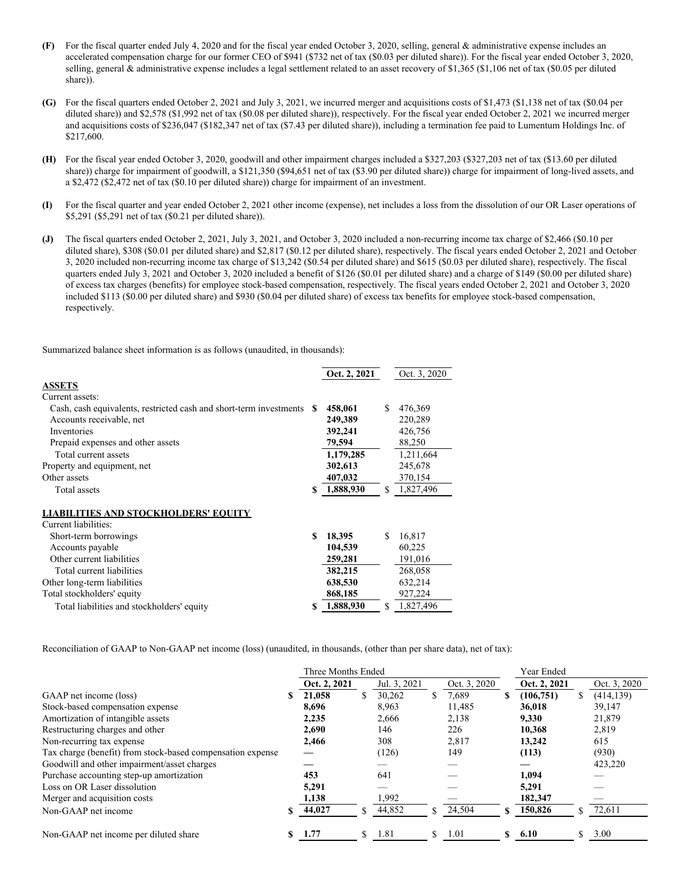- **(F)** For the fiscal quarter ended July 4, 2020 and for the fiscal year ended October 3, 2020, selling, general & administrative expense includes an accelerated compensation charge for our former CEO of \$941 (\$732 net of tax (\$0.03 per diluted share)). For the fiscal year ended October 3, 2020, selling, general & administrative expense includes a legal settlement related to an asset recovery of \$1,365 (\$1,106 net of tax (\$0.05 per diluted share)).
- **(G)** For the fiscal quarters ended October 2, 2021 and July 3, 2021, we incurred merger and acquisitions costs of \$1,473 (\$1,138 net of tax (\$0.04 per diluted share)) and \$2,578 (\$1,992 net of tax (\$0.08 per diluted share)), respectively. For the fiscal year ended October 2, 2021 we incurred merger and acquisitions costs of \$236,047 (\$182,347 net of tax (\$7.43 per diluted share)), including a termination fee paid to Lumentum Holdings Inc. of \$217,600.
- **(H)** For the fiscal year ended October 3, 2020, goodwill and other impairment charges included a \$327,203 (\$327,203 net of tax (\$13.60 per diluted share)) charge for impairment of goodwill, a \$121,350 (\$94,651 net of tax (\$3.90 per diluted share)) charge for impairment of long-lived assets, and a \$2,472 (\$2,472 net of tax (\$0.10 per diluted share)) charge for impairment of an investment.
- **(I)** For the fiscal quarter and year ended October 2, 2021 other income (expense), net includes a loss from the dissolution of our OR Laser operations of \$5,291 (\$5,291 net of tax (\$0.21 per diluted share)).
- **(J)** The fiscal quarters ended October 2, 2021, July 3, 2021, and October 3, 2020 included a non-recurring income tax charge of \$2,466 (\$0.10 per diluted share), \$308 (\$0.01 per diluted share) and \$2,817 (\$0.12 per diluted share), respectively. The fiscal years ended October 2, 2021 and October 3, 2020 included non-recurring income tax charge of \$13,242 (\$0.54 per diluted share) and \$615 (\$0.03 per diluted share), respectively. The fiscal quarters ended July 3, 2021 and October 3, 2020 included a benefit of \$126 (\$0.01 per diluted share) and a charge of \$149 (\$0.00 per diluted share) of excess tax charges (benefits) for employee stock-based compensation, respectively. The fiscal years ended October 2, 2021 and October 3, 2020 included \$113 (\$0.00 per diluted share) and \$930 (\$0.04 per diluted share) of excess tax benefits for employee stock-based compensation, respectively.

Summarized balance sheet information is as follows (unaudited, in thousands):

|                                                                    |    | Oct. 2, 2021 |    | Oct. 3, 2020 |
|--------------------------------------------------------------------|----|--------------|----|--------------|
| <b>ASSETS</b>                                                      |    |              |    |              |
| Current assets:                                                    |    |              |    |              |
| Cash, cash equivalents, restricted cash and short-term investments | S  | 458,061      | \$ | 476,369      |
| Accounts receivable, net                                           |    | 249,389      |    | 220,289      |
| Inventories                                                        |    | 392,241      |    | 426,756      |
| Prepaid expenses and other assets                                  |    | 79,594       |    | 88,250       |
| Total current assets                                               |    | 1,179,285    |    | 1,211,664    |
| Property and equipment, net                                        |    | 302,613      |    | 245,678      |
| Other assets                                                       |    | 407,032      |    | 370,154      |
| Total assets                                                       | \$ | 1,888,930    | \$ | 1,827,496    |
| <b>LIABILITIES AND STOCKHOLDERS' EQUITY</b>                        |    |              |    |              |
| Current liabilities:                                               |    |              |    |              |
| Short-term borrowings                                              | \$ | 18,395       | S. | 16,817       |
| Accounts payable                                                   |    | 104,539      |    | 60,225       |
| Other current liabilities                                          |    | 259,281      |    | 191,016      |
| Total current liabilities                                          |    | 382,215      |    | 268,058      |
| Other long-term liabilities                                        |    | 638,530      |    | 632,214      |
| Total stockholders' equity                                         |    | 868,185      |    | 927,224      |
| Total liabilities and stockholders' equity                         | S  | 1,888,930    | \$ | 1,827,496    |

Reconciliation of GAAP to Non-GAAP net income (loss) (unaudited, in thousands, (other than per share data), net of tax):

|                                                            | Three Months Ended |     |              |    |              |    | Year Ended   |                  |  |  |
|------------------------------------------------------------|--------------------|-----|--------------|----|--------------|----|--------------|------------------|--|--|
|                                                            | Oct. 2, 2021       |     | Jul. 3, 2021 |    | Oct. 3, 2020 |    | Oct. 2, 2021 | Oct. 3, 2020     |  |  |
| GAAP net income (loss)                                     | 21,058             |     | 30,262       | \$ | 7,689        | \$ | (106,751)    | \$<br>(414, 139) |  |  |
| Stock-based compensation expense                           | 8,696              |     | 8,963        |    | 11,485       |    | 36,018       | 39,147           |  |  |
| Amortization of intangible assets                          | 2,235              |     | 2,666        |    | 2,138        |    | 9,330        | 21,879           |  |  |
| Restructuring charges and other                            | 2,690              |     | 146          |    | 226          |    | 10,368       | 2,819            |  |  |
| Non-recurring tax expense                                  | 2,466              |     | 308          |    | 2,817        |    | 13,242       | 615              |  |  |
| Tax charge (benefit) from stock-based compensation expense |                    |     | (126)        |    | 149          |    | (113)        | (930)            |  |  |
| Goodwill and other impairment/asset charges                |                    |     |              |    |              |    |              | 423,220          |  |  |
| Purchase accounting step-up amortization                   | 453                |     | 641          |    |              |    | 1,094        |                  |  |  |
| Loss on OR Laser dissolution                               | 5,291              |     |              |    |              |    | 5,291        |                  |  |  |
| Merger and acquisition costs                               | 1,138              |     | 1,992        |    |              |    | 182,347      |                  |  |  |
| Non-GAAP net income                                        | 44,027             |     | 44,852       | \$ | 24,504       |    | 150,826      | \$<br>72,611     |  |  |
| Non-GAAP net income per diluted share                      | 1.77               | \$. | 1.81         | \$ | 1.01         | \$ | 6.10         | \$<br>3.00       |  |  |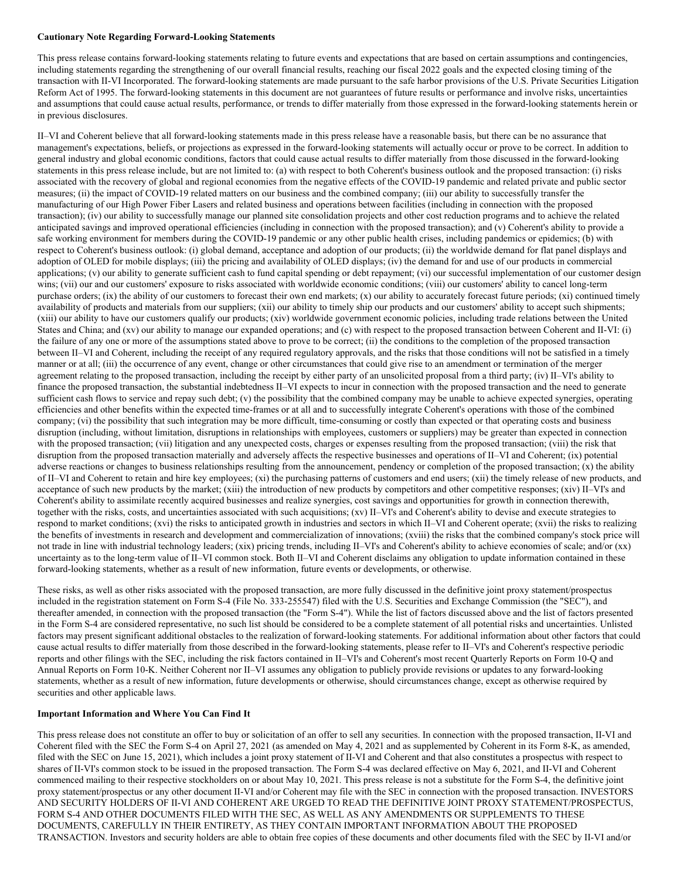#### **Cautionary Note Regarding Forward-Looking Statements**

This press release contains forward-looking statements relating to future events and expectations that are based on certain assumptions and contingencies, including statements regarding the strengthening of our overall financial results, reaching our fiscal 2022 goals and the expected closing timing of the transaction with II-VI Incorporated. The forward-looking statements are made pursuant to the safe harbor provisions of the U.S. Private Securities Litigation Reform Act of 1995. The forward-looking statements in this document are not guarantees of future results or performance and involve risks, uncertainties and assumptions that could cause actual results, performance, or trends to differ materially from those expressed in the forward-looking statements herein or in previous disclosures.

II–VI and Coherent believe that all forward-looking statements made in this press release have a reasonable basis, but there can be no assurance that management's expectations, beliefs, or projections as expressed in the forward-looking statements will actually occur or prove to be correct. In addition to general industry and global economic conditions, factors that could cause actual results to differ materially from those discussed in the forward-looking statements in this press release include, but are not limited to: (a) with respect to both Coherent's business outlook and the proposed transaction: (i) risks associated with the recovery of global and regional economies from the negative effects of the COVID-19 pandemic and related private and public sector measures; (ii) the impact of COVID-19 related matters on our business and the combined company; (iii) our ability to successfully transfer the manufacturing of our High Power Fiber Lasers and related business and operations between facilities (including in connection with the proposed transaction); (iv) our ability to successfully manage our planned site consolidation projects and other cost reduction programs and to achieve the related anticipated savings and improved operational efficiencies (including in connection with the proposed transaction); and (v) Coherent's ability to provide a safe working environment for members during the COVID-19 pandemic or any other public health crises, including pandemics or epidemics; (b) with respect to Coherent's business outlook: (i) global demand, acceptance and adoption of our products; (ii) the worldwide demand for flat panel displays and adoption of OLED for mobile displays; (iii) the pricing and availability of OLED displays; (iv) the demand for and use of our products in commercial applications; (v) our ability to generate sufficient cash to fund capital spending or debt repayment; (vi) our successful implementation of our customer design wins; (vii) our and our customers' exposure to risks associated with worldwide economic conditions; (viii) our customers' ability to cancel long-term purchase orders; (ix) the ability of our customers to forecast their own end markets; (x) our ability to accurately forecast future periods; (xi) continued timely availability of products and materials from our suppliers; (xii) our ability to timely ship our products and our customers' ability to accept such shipments; (xiii) our ability to have our customers qualify our products; (xiv) worldwide government economic policies, including trade relations between the United States and China; and (xv) our ability to manage our expanded operations; and (c) with respect to the proposed transaction between Coherent and II-VI: (i) the failure of any one or more of the assumptions stated above to prove to be correct; (ii) the conditions to the completion of the proposed transaction between II–VI and Coherent, including the receipt of any required regulatory approvals, and the risks that those conditions will not be satisfied in a timely manner or at all; (iii) the occurrence of any event, change or other circumstances that could give rise to an amendment or termination of the merger agreement relating to the proposed transaction, including the receipt by either party of an unsolicited proposal from a third party; (iv) II–VI's ability to finance the proposed transaction, the substantial indebtedness II–VI expects to incur in connection with the proposed transaction and the need to generate sufficient cash flows to service and repay such debt; (v) the possibility that the combined company may be unable to achieve expected synergies, operating efficiencies and other benefits within the expected time-frames or at all and to successfully integrate Coherent's operations with those of the combined company; (vi) the possibility that such integration may be more difficult, time-consuming or costly than expected or that operating costs and business disruption (including, without limitation, disruptions in relationships with employees, customers or suppliers) may be greater than expected in connection with the proposed transaction; (vii) litigation and any unexpected costs, charges or expenses resulting from the proposed transaction; (viii) the risk that disruption from the proposed transaction materially and adversely affects the respective businesses and operations of II–VI and Coherent; (ix) potential adverse reactions or changes to business relationships resulting from the announcement, pendency or completion of the proposed transaction; (x) the ability of II–VI and Coherent to retain and hire key employees; (xi) the purchasing patterns of customers and end users; (xii) the timely release of new products, and acceptance of such new products by the market; (xiii) the introduction of new products by competitors and other competitive responses; (xiv) II–VI's and Coherent's ability to assimilate recently acquired businesses and realize synergies, cost savings and opportunities for growth in connection therewith, together with the risks, costs, and uncertainties associated with such acquisitions; (xv) II–VI's and Coherent's ability to devise and execute strategies to respond to market conditions; (xvi) the risks to anticipated growth in industries and sectors in which II–VI and Coherent operate; (xvii) the risks to realizing the benefits of investments in research and development and commercialization of innovations; (xviii) the risks that the combined company's stock price will not trade in line with industrial technology leaders; (xix) pricing trends, including II–VI's and Coherent's ability to achieve economies of scale; and/or (xx) uncertainty as to the long-term value of II–VI common stock. Both II–VI and Coherent disclaims any obligation to update information contained in these forward-looking statements, whether as a result of new information, future events or developments, or otherwise.

These risks, as well as other risks associated with the proposed transaction, are more fully discussed in the definitive joint proxy statement/prospectus included in the registration statement on Form S-4 (File No. 333-255547) filed with the U.S. Securities and Exchange Commission (the "SEC"), and thereafter amended, in connection with the proposed transaction (the "Form S-4"). While the list of factors discussed above and the list of factors presented in the Form S-4 are considered representative, no such list should be considered to be a complete statement of all potential risks and uncertainties. Unlisted factors may present significant additional obstacles to the realization of forward-looking statements. For additional information about other factors that could cause actual results to differ materially from those described in the forward-looking statements, please refer to II–VI's and Coherent's respective periodic reports and other filings with the SEC, including the risk factors contained in II–VI's and Coherent's most recent Quarterly Reports on Form 10-Q and Annual Reports on Form 10-K. Neither Coherent nor II–VI assumes any obligation to publicly provide revisions or updates to any forward-looking statements, whether as a result of new information, future developments or otherwise, should circumstances change, except as otherwise required by securities and other applicable laws.

### **Important Information and Where You Can Find It**

This press release does not constitute an offer to buy or solicitation of an offer to sell any securities. In connection with the proposed transaction, II-VI and Coherent filed with the SEC the Form S-4 on April 27, 2021 (as amended on May 4, 2021 and as supplemented by Coherent in its Form 8-K, as amended, filed with the SEC on June 15, 2021), which includes a joint proxy statement of II-VI and Coherent and that also constitutes a prospectus with respect to shares of II-VI's common stock to be issued in the proposed transaction. The Form S-4 was declared effective on May 6, 2021, and II-VI and Coherent commenced mailing to their respective stockholders on or about May 10, 2021. This press release is not a substitute for the Form S-4, the definitive joint proxy statement/prospectus or any other document II-VI and/or Coherent may file with the SEC in connection with the proposed transaction. INVESTORS AND SECURITY HOLDERS OF II-VI AND COHERENT ARE URGED TO READ THE DEFINITIVE JOINT PROXY STATEMENT/PROSPECTUS, FORM S-4 AND OTHER DOCUMENTS FILED WITH THE SEC, AS WELL AS ANY AMENDMENTS OR SUPPLEMENTS TO THESE DOCUMENTS, CAREFULLY IN THEIR ENTIRETY, AS THEY CONTAIN IMPORTANT INFORMATION ABOUT THE PROPOSED TRANSACTION. Investors and security holders are able to obtain free copies of these documents and other documents filed with the SEC by II-VI and/or